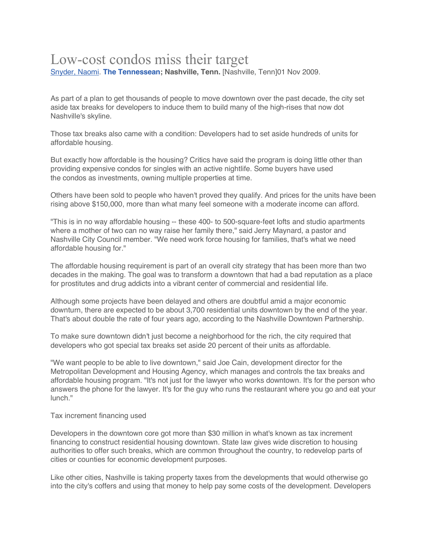## Low-cost condos miss their target

Snyder, Naomi. **The Tennessean; Nashville, Tenn.** [Nashville, Tenn]01 Nov 2009.

As part of a plan to get thousands of people to move downtown over the past decade, the city set aside tax breaks for developers to induce them to build many of the high-rises that now dot Nashville's skyline.

Those tax breaks also came with a condition: Developers had to set aside hundreds of units for affordable housing.

But exactly how affordable is the housing? Critics have said the program is doing little other than providing expensive condos for singles with an active nightlife. Some buyers have used the condos as investments, owning multiple properties at time.

Others have been sold to people who haven't proved they qualify. And prices for the units have been rising above \$150,000, more than what many feel someone with a moderate income can afford.

"This is in no way affordable housing -- these 400- to 500-square-feet lofts and studio apartments where a mother of two can no way raise her family there," said Jerry Maynard, a pastor and Nashville City Council member. "We need work force housing for families, that's what we need affordable housing for."

The affordable housing requirement is part of an overall city strategy that has been more than two decades in the making. The goal was to transform a downtown that had a bad reputation as a place for prostitutes and drug addicts into a vibrant center of commercial and residential life.

Although some projects have been delayed and others are doubtful amid a major economic downturn, there are expected to be about 3,700 residential units downtown by the end of the year. That's about double the rate of four years ago, according to the Nashville Downtown Partnership.

To make sure downtown didn't just become a neighborhood for the rich, the city required that developers who got special tax breaks set aside 20 percent of their units as affordable.

"We want people to be able to live downtown," said Joe Cain, development director for the Metropolitan Development and Housing Agency, which manages and controls the tax breaks and affordable housing program. "It's not just for the lawyer who works downtown. It's for the person who answers the phone for the lawyer. It's for the guy who runs the restaurant where you go and eat your lunch."

## Tax increment financing used

Developers in the downtown core got more than \$30 million in what's known as tax increment financing to construct residential housing downtown. State law gives wide discretion to housing authorities to offer such breaks, which are common throughout the country, to redevelop parts of cities or counties for economic development purposes.

Like other cities, Nashville is taking property taxes from the developments that would otherwise go into the city's coffers and using that money to help pay some costs of the development. Developers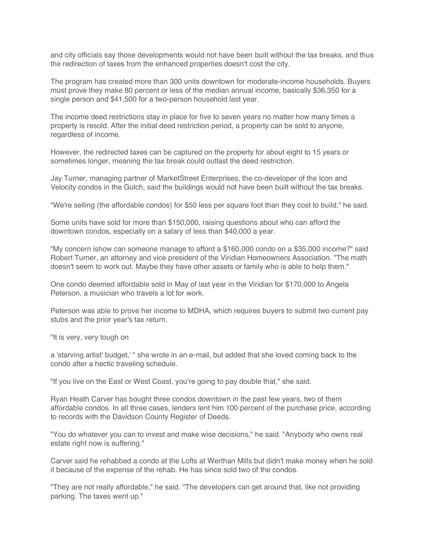and city officials say those developments would not have been built without the tax breaks, and thus the redirection of taxes from the enhanced properties doesn't cost the city.

The program has created more than 300 units downtown for moderate-income households. Buyers must prove they make 80 percent or less of the median annual income, basically \$36,350 for a single person and \$41,500 for a two-person household last year.

The income deed restrictions stay in place for five to seven years no matter how many times a property is resold. After the initial deed restriction period, a property can be sold to anyone, regardless of income.

However, the redirected taxes can be captured on the property for about eight to 15 years or sometimes longer, meaning the tax break could outlast the deed restriction.

Jay Turner, managing partner of MarketStreet Enterprises, the co-developer of the Icon and Velocity condos in the Gulch, said the buildings would not have been built without the tax breaks.

"We're selling (the affordable condos) for \$50 less per square foot than they cost to build," he said.

Some units have sold for more than \$150,000, raising questions about who can afford the downtown condos, especially on a salary of less than \$40,000 a year.

"My concern ishow can someone manage to afford a \$160,000 condo on a \$35,000 income?" said Robert Turner, an attorney and vice president of the Viridian Homeowners Association. "The math doesn't seem to work out. Maybe they have other assets or family who is able to help them."

One condo deemed affordable sold in May of last year in the Viridian for \$170,000 to Angela Peterson, a musician who travels a lot for work.

Peterson was able to prove her income to MDHA, which requires buyers to submit two current pay stubs and the prior year's tax return.

"It is very, very tough on

a 'starving artist' budget,' " she wrote in an e-mail, but added that she loved coming back to the condo after a hectic traveling schedule.

"If you live on the East or West Coast, you're going to pay double that," she said.

Ryan Heath Carver has bought three condos downtown in the past few years, two of them affordable condos. In all three cases, lenders lent him 100 percent of the purchase price, according to records with the Davidson County Register of Deeds.

"You do whatever you can to invest and make wise decisions," he said. "Anybody who owns real estate right now is suffering."

Carver said he rehabbed a condo at the Lofts at Werthan Mills but didn't make money when he sold it because of the expense of the rehab. He has since sold two of the condos.

"They are not really affordable," he said. "The developers can get around that, like not providing parking. The taxes went up."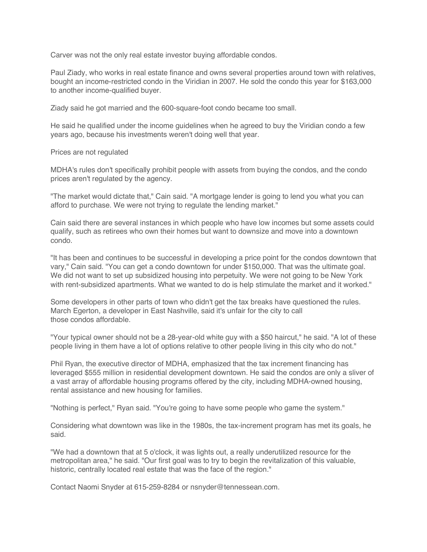Carver was not the only real estate investor buying affordable condos.

Paul Ziady, who works in real estate finance and owns several properties around town with relatives, bought an income-restricted condo in the Viridian in 2007. He sold the condo this year for \$163,000 to another income-qualified buyer.

Ziady said he got married and the 600-square-foot condo became too small.

He said he qualified under the income guidelines when he agreed to buy the Viridian condo a few years ago, because his investments weren't doing well that year.

Prices are not regulated

MDHA's rules don't specifically prohibit people with assets from buying the condos, and the condo prices aren't regulated by the agency.

"The market would dictate that," Cain said. "A mortgage lender is going to lend you what you can afford to purchase. We were not trying to regulate the lending market."

Cain said there are several instances in which people who have low incomes but some assets could qualify, such as retirees who own their homes but want to downsize and move into a downtown condo.

"It has been and continues to be successful in developing a price point for the condos downtown that vary," Cain said. "You can get a condo downtown for under \$150,000. That was the ultimate goal. We did not want to set up subsidized housing into perpetuity. We were not going to be New York with rent-subsidized apartments. What we wanted to do is help stimulate the market and it worked."

Some developers in other parts of town who didn't get the tax breaks have questioned the rules. March Egerton, a developer in East Nashville, said it's unfair for the city to call those condos affordable.

"Your typical owner should not be a 28-year-old white guy with a \$50 haircut," he said. "A lot of these people living in them have a lot of options relative to other people living in this city who do not."

Phil Ryan, the executive director of MDHA, emphasized that the tax increment financing has leveraged \$555 million in residential development downtown. He said the condos are only a sliver of a vast array of affordable housing programs offered by the city, including MDHA-owned housing, rental assistance and new housing for families.

"Nothing is perfect," Ryan said. "You're going to have some people who game the system."

Considering what downtown was like in the 1980s, the tax-increment program has met its goals, he said.

"We had a downtown that at 5 o'clock, it was lights out, a really underutilized resource for the metropolitan area," he said. "Our first goal was to try to begin the revitalization of this valuable, historic, centrally located real estate that was the face of the region."

Contact Naomi Snyder at 615-259-8284 or nsnyder@tennessean.com.